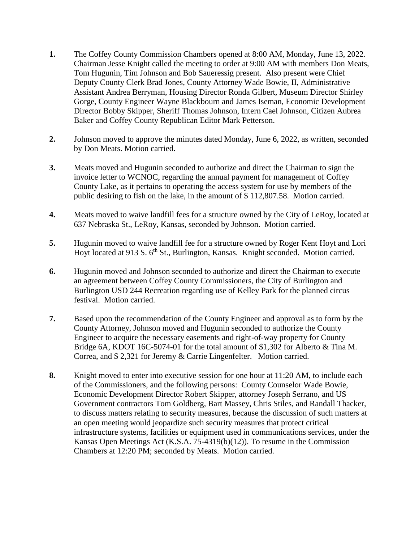- **1.** The Coffey County Commission Chambers opened at 8:00 AM, Monday, June 13, 2022. Chairman Jesse Knight called the meeting to order at 9:00 AM with members Don Meats, Tom Hugunin, Tim Johnson and Bob Saueressig present. Also present were Chief Deputy County Clerk Brad Jones, County Attorney Wade Bowie, II, Administrative Assistant Andrea Berryman, Housing Director Ronda Gilbert, Museum Director Shirley Gorge, County Engineer Wayne Blackbourn and James Iseman, Economic Development Director Bobby Skipper, Sheriff Thomas Johnson, Intern Cael Johnson, Citizen Aubrea Baker and Coffey County Republican Editor Mark Petterson.
- **2.** Johnson moved to approve the minutes dated Monday, June 6, 2022, as written, seconded by Don Meats. Motion carried.
- **3.** Meats moved and Hugunin seconded to authorize and direct the Chairman to sign the invoice letter to WCNOC, regarding the annual payment for management of Coffey County Lake, as it pertains to operating the access system for use by members of the public desiring to fish on the lake, in the amount of \$ 112,807.58. Motion carried.
- **4.** Meats moved to waive landfill fees for a structure owned by the City of LeRoy, located at 637 Nebraska St., LeRoy, Kansas, seconded by Johnson. Motion carried.
- **5.** Hugunin moved to waive landfill fee for a structure owned by Roger Kent Hoyt and Lori Hoyt located at 913 S. 6<sup>th</sup> St., Burlington, Kansas. Knight seconded. Motion carried.
- **6.** Hugunin moved and Johnson seconded to authorize and direct the Chairman to execute an agreement between Coffey County Commissioners, the City of Burlington and Burlington USD 244 Recreation regarding use of Kelley Park for the planned circus festival. Motion carried.
- **7.** Based upon the recommendation of the County Engineer and approval as to form by the County Attorney, Johnson moved and Hugunin seconded to authorize the County Engineer to acquire the necessary easements and right-of-way property for County Bridge 6A, KDOT 16C-5074-01 for the total amount of \$1,302 for Alberto & Tina M. Correa, and \$ 2,321 for Jeremy & Carrie Lingenfelter. Motion carried.
- **8.** Knight moved to enter into executive session for one hour at 11:20 AM, to include each of the Commissioners, and the following persons: County Counselor Wade Bowie, Economic Development Director Robert Skipper, attorney Joseph Serrano, and US Government contractors Tom Goldberg, Bart Massey, Chris Stiles, and Randall Thacker, to discuss matters relating to security measures, because the discussion of such matters at an open meeting would jeopardize such security measures that protect critical infrastructure systems, facilities or equipment used in communications services, under the Kansas Open Meetings Act (K.S.A. 75-4319(b)(12)). To resume in the Commission Chambers at 12:20 PM; seconded by Meats. Motion carried.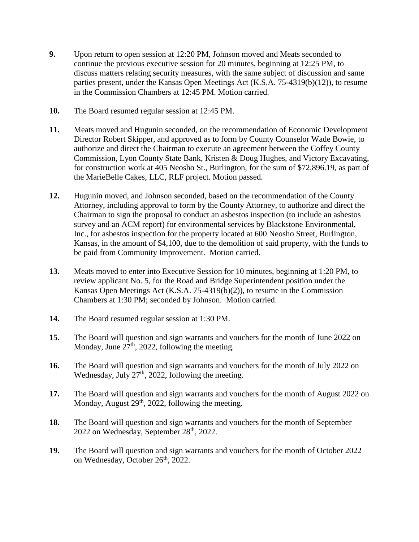- **9.** Upon return to open session at 12:20 PM, Johnson moved and Meats seconded to continue the previous executive session for 20 minutes, beginning at 12:25 PM, to discuss matters relating security measures, with the same subject of discussion and same parties present, under the Kansas Open Meetings Act (K.S.A. 75-4319(b)(12)), to resume in the Commission Chambers at 12:45 PM. Motion carried.
- **10.** The Board resumed regular session at 12:45 PM.
- **11.** Meats moved and Hugunin seconded, on the recommendation of Economic Development Director Robert Skipper, and approved as to form by County Counselor Wade Bowie, to authorize and direct the Chairman to execute an agreement between the Coffey County Commission, Lyon County State Bank, Kristen & Doug Hughes, and Victory Excavating, for construction work at 405 Neosho St., Burlington, for the sum of \$72,896.19, as part of the MarieBelle Cakes, LLC, RLF project. Motion passed.
- **12.** Hugunin moved, and Johnson seconded, based on the recommendation of the County Attorney, including approval to form by the County Attorney, to authorize and direct the Chairman to sign the proposal to conduct an asbestos inspection (to include an asbestos survey and an ACM report) for environmental services by Blackstone Environmental, Inc., for asbestos inspection for the property located at 600 Neosho Street, Burlington, Kansas, in the amount of \$4,100, due to the demolition of said property, with the funds to be paid from Community Improvement. Motion carried.
- **13.** Meats moved to enter into Executive Session for 10 minutes, beginning at 1:20 PM, to review applicant No. 5, for the Road and Bridge Superintendent position under the Kansas Open Meetings Act (K.S.A. 75-4319(b)(2)), to resume in the Commission Chambers at 1:30 PM; seconded by Johnson. Motion carried.
- **14.** The Board resumed regular session at 1:30 PM.
- **15.** The Board will question and sign warrants and vouchers for the month of June 2022 on Monday, June  $27<sup>th</sup>$ , 2022, following the meeting.
- **16.** The Board will question and sign warrants and vouchers for the month of July 2022 on Wednesday, July 27<sup>th</sup>, 2022, following the meeting.
- **17.** The Board will question and sign warrants and vouchers for the month of August 2022 on Monday, August  $29<sup>th</sup>$ , 2022, following the meeting.
- **18.** The Board will question and sign warrants and vouchers for the month of September 2022 on Wednesday, September 28<sup>th</sup>, 2022.
- **19.** The Board will question and sign warrants and vouchers for the month of October 2022 on Wednesday, October 26<sup>th</sup>, 2022.